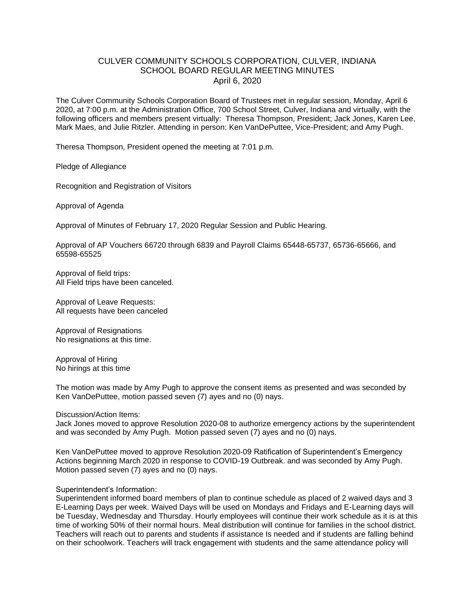## CULVER COMMUNITY SCHOOLS CORPORATION, CULVER, INDIANA SCHOOL BOARD REGULAR MEETING MINUTES April 6, 2020

The Culver Community Schools Corporation Board of Trustees met in regular session, Monday, April 6 2020, at 7:00 p.m. at the Administration Office, 700 School Street, Culver, Indiana and virtually, with the following officers and members present virtually: Theresa Thompson, President; Jack Jones, Karen Lee, Mark Maes, and Julie Ritzler. Attending in person: Ken VanDePuttee, Vice-President; and Amy Pugh.

Theresa Thompson, President opened the meeting at 7:01 p.m.

Pledge of Allegiance

Recognition and Registration of Visitors

Approval of Agenda

Approval of Minutes of February 17, 2020 Regular Session and Public Hearing.

Approval of AP Vouchers 66720 through 6839 and Payroll Claims 65448-65737, 65736-65666, and 65598-65525

Approval of field trips: All Field trips have been canceled.

Approval of Leave Requests: All requests have been canceled

Approval of Resignations No resignations at this time.

Approval of Hiring No hirings at this time

The motion was made by Amy Pugh to approve the consent items as presented and was seconded by Ken VanDePuttee, motion passed seven (7) ayes and no (0) nays.

Discussion/Action Items:

Jack Jones moved to approve Resolution 2020-08 to authorize emergency actions by the superintendent and was seconded by Amy Pugh. Motion passed seven (7) ayes and no (0) nays.

Ken VanDePuttee moved to approve Resolution 2020-09 Ratification of Superintendent's Emergency Actions beginning March 2020 in response to COVID-19 Outbreak. and was seconded by Amy Pugh. Motion passed seven (7) ayes and no (0) nays.

## Superintendent's Information:

Superintendent informed board members of plan to continue schedule as placed of 2 waived days and 3 E-Learning Days per week. Waived Days will be used on Mondays and Fridays and E-Learning days will be Tuesday, Wednesday and Thursday. Hourly employees will continue their work schedule as it is at this time of working 50% of their normal hours. Meal distribution will continue for families in the school district. Teachers will reach out to parents and students if assistance Is needed and if students are falling behind on their schoolwork. Teachers will track engagement with students and the same attendance policy will